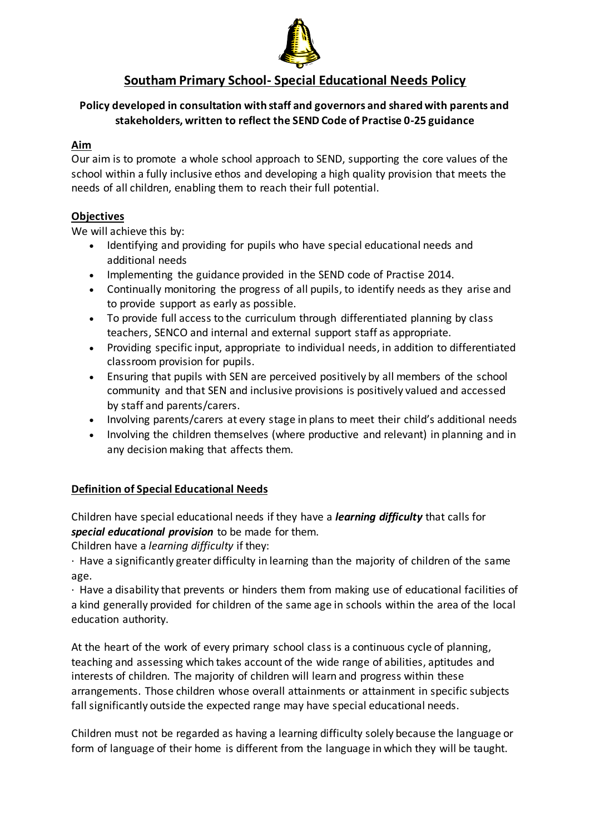

# **Southam Primary School- Special Educational Needs Policy**

## **Policy developed in consultation with staff and governors and shared with parents and stakeholders, written to reflect the SEND Code of Practise 0-25 guidance**

### **Aim**

Our aim is to promote a whole school approach to SEND, supporting the core values of the school within a fully inclusive ethos and developing a high quality provision that meets the needs of all children, enabling them to reach their full potential.

### **Objectives**

We will achieve this by:

- Identifying and providing for pupils who have special educational needs and additional needs
- Implementing the guidance provided in the SEND code of Practise 2014.
- Continually monitoring the progress of all pupils, to identify needs as they arise and to provide support as early as possible.
- To provide full access to the curriculum through differentiated planning by class teachers, SENCO and internal and external support staff as appropriate.
- Providing specific input, appropriate to individual needs, in addition to differentiated classroom provision for pupils.
- Ensuring that pupils with SEN are perceived positively by all members of the school community and that SEN and inclusive provisions is positively valued and accessed by staff and parents/carers.
- Involving parents/carers at every stage in plans to meet their child's additional needs
- Involving the children themselves (where productive and relevant) in planning and in any decision making that affects them.

## **Definition of Special Educational Needs**

Children have special educational needs if they have a *learning difficulty* that calls for *special educational provision* to be made for them.

Children have a *learning difficulty* if they:

· Have a significantly greater difficulty in learning than the majority of children of the same age.

· Have a disability that prevents or hinders them from making use of educational facilities of a kind generally provided for children of the same age in schools within the area of the local education authority.

At the heart of the work of every primary school class is a continuous cycle of planning, teaching and assessing which takes account of the wide range of abilities, aptitudes and interests of children. The majority of children will learn and progress within these arrangements. Those children whose overall attainments or attainment in specific subjects fall significantly outside the expected range may have special educational needs.

Children must not be regarded as having a learning difficulty solely because the language or form of language of their home is different from the language in which they will be taught.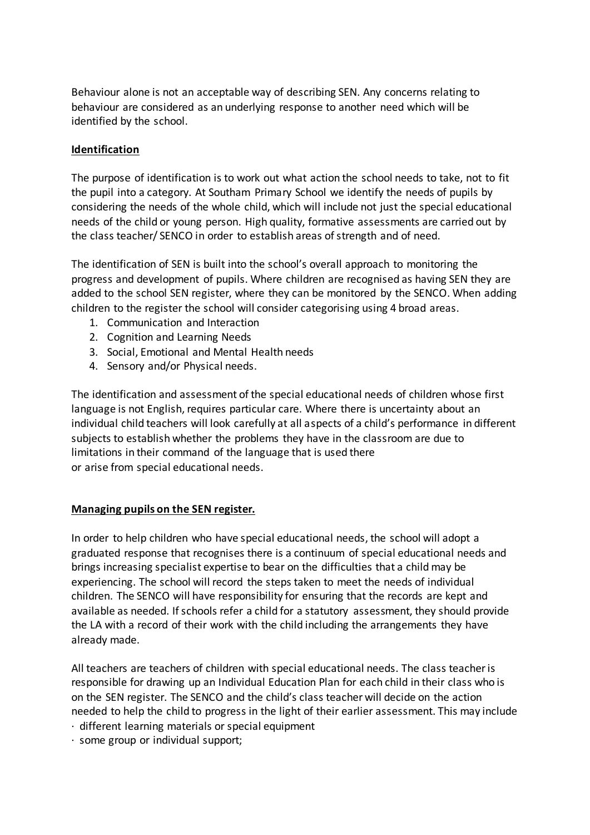Behaviour alone is not an acceptable way of describing SEN. Any concerns relating to behaviour are considered as an underlying response to another need which will be identified by the school.

### **Identification**

The purpose of identification is to work out what action the school needs to take, not to fit the pupil into a category. At Southam Primary School we identify the needs of pupils by considering the needs of the whole child, which will include not just the special educational needs of the child or young person. High quality, formative assessments are carried out by the class teacher/ SENCO in order to establish areas of strength and of need.

The identification of SEN is built into the school's overall approach to monitoring the progress and development of pupils. Where children are recognised as having SEN they are added to the school SEN register, where they can be monitored by the SENCO. When adding children to the register the school will consider categorising using 4 broad areas.

- 1. Communication and Interaction
- 2. Cognition and Learning Needs
- 3. Social, Emotional and Mental Health needs
- 4. Sensory and/or Physical needs.

The identification and assessment of the special educational needs of children whose first language is not English, requires particular care. Where there is uncertainty about an individual child teachers will look carefully at all aspects of a child's performance in different subjects to establish whether the problems they have in the classroom are due to limitations in their command of the language that is used there or arise from special educational needs.

### **Managing pupils on the SEN register.**

In order to help children who have special educational needs, the school will adopt a graduated response that recognises there is a continuum of special educational needs and brings increasing specialist expertise to bear on the difficulties that a child may be experiencing. The school will record the steps taken to meet the needs of individual children. The SENCO will have responsibility for ensuring that the records are kept and available as needed. If schools refer a child for a statutory assessment, they should provide the LA with a record of their work with the child including the arrangements they have already made.

All teachers are teachers of children with special educational needs. The class teacher is responsible for drawing up an Individual Education Plan for each child in their class who is on the SEN register. The SENCO and the child's class teacher will decide on the action needed to help the child to progress in the light of their earlier assessment. This may include

- · different learning materials or special equipment
- · some group or individual support;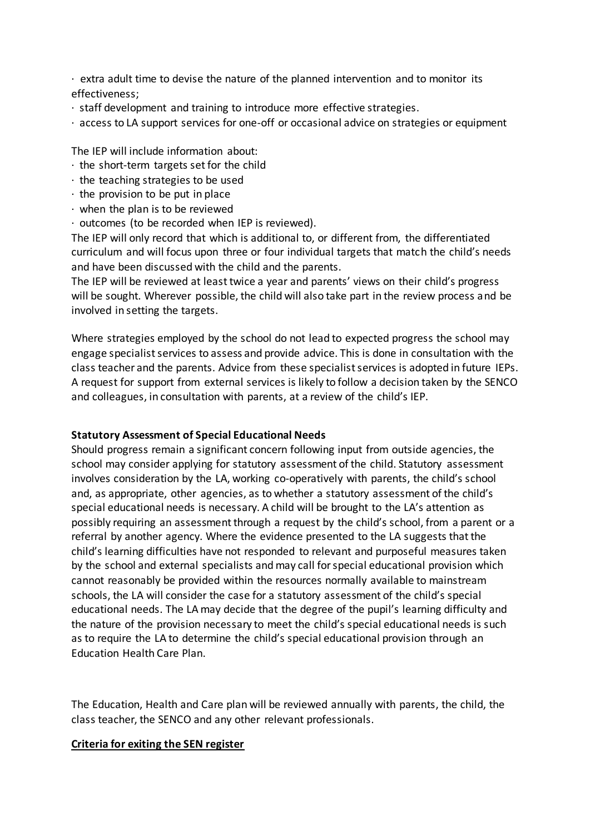$\cdot$  extra adult time to devise the nature of the planned intervention and to monitor its effectiveness;

- · staff development and training to introduce more effective strategies.
- · access to LA support services for one-off or occasional advice on strategies or equipment

The IEP will include information about:

- $\cdot$  the short-term targets set for the child
- $\cdot$  the teaching strategies to be used
- $\cdot$  the provision to be put in place
- $\cdot$  when the plan is to be reviewed
- · outcomes (to be recorded when IEP is reviewed).

The IEP will only record that which is additional to, or different from, the differentiated curriculum and will focus upon three or four individual targets that match the child's needs and have been discussed with the child and the parents.

The IEP will be reviewed at least twice a year and parents' views on their child's progress will be sought. Wherever possible, the child will also take part in the review process and be involved in setting the targets.

Where strategies employed by the school do not lead to expected progress the school may engage specialist services to assess and provide advice. This is done in consultation with the class teacher and the parents. Advice from these specialist services is adopted in future IEPs. A request for support from external services is likely to follow a decision taken by the SENCO and colleagues, in consultation with parents, at a review of the child's IEP.

#### **Statutory Assessment of Special Educational Needs**

Should progress remain a significant concern following input from outside agencies, the school may consider applying for statutory assessment of the child. Statutory assessment involves consideration by the LA, working co-operatively with parents, the child's school and, as appropriate, other agencies, as to whether a statutory assessment of the child's special educational needs is necessary. A child will be brought to the LA's attention as possibly requiring an assessment through a request by the child's school, from a parent or a referral by another agency. Where the evidence presented to the LA suggests that the child's learning difficulties have not responded to relevant and purposeful measures taken by the school and external specialists and may call for special educational provision which cannot reasonably be provided within the resources normally available to mainstream schools, the LA will consider the case for a statutory assessment of the child's special educational needs. The LA may decide that the degree of the pupil's learning difficulty and the nature of the provision necessary to meet the child's special educational needs is such as to require the LA to determine the child's special educational provision through an Education Health Care Plan.

The Education, Health and Care plan will be reviewed annually with parents, the child, the class teacher, the SENCO and any other relevant professionals.

#### **Criteria for exiting the SEN register**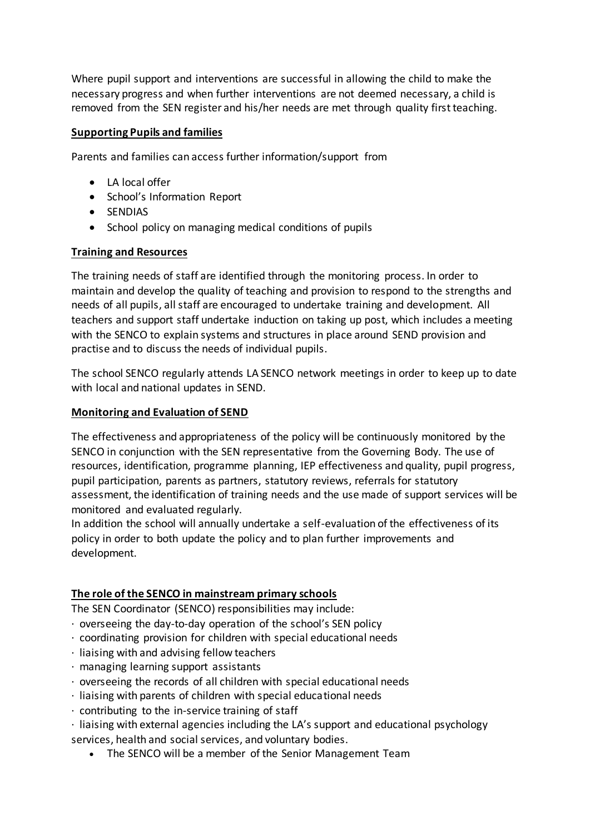Where pupil support and interventions are successful in allowing the child to make the necessary progress and when further interventions are not deemed necessary, a child is removed from the SEN register and his/her needs are met through quality first teaching.

### **Supporting Pupils and families**

Parents and families can access further information/support from

- LA local offer
- School's Information Report
- **•** SENDIAS
- School policy on managing medical conditions of pupils

### **Training and Resources**

The training needs of staff are identified through the monitoring process. In order to maintain and develop the quality of teaching and provision to respond to the strengths and needs of all pupils, all staff are encouraged to undertake training and development. All teachers and support staff undertake induction on taking up post, which includes a meeting with the SENCO to explain systems and structures in place around SEND provision and practise and to discuss the needs of individual pupils.

The school SENCO regularly attends LA SENCO network meetings in order to keep up to date with local and national updates in SEND.

### **Monitoring and Evaluation of SEND**

The effectiveness and appropriateness of the policy will be continuously monitored by the SENCO in conjunction with the SEN representative from the Governing Body. The use of resources, identification, programme planning, IEP effectiveness and quality, pupil progress, pupil participation, parents as partners, statutory reviews, referrals for statutory assessment, the identification of training needs and the use made of support services will be monitored and evaluated regularly.

In addition the school will annually undertake a self-evaluation of the effectiveness of its policy in order to both update the policy and to plan further improvements and development.

## **The role of the SENCO in mainstream primary schools**

The SEN Coordinator (SENCO) responsibilities may include:

- · overseeing the day-to-day operation of the school's SEN policy
- · coordinating provision for children with special educational needs
- $\cdot$  liaising with and advising fellow teachers
- · managing learning support assistants
- $\cdot$  overseeing the records of all children with special educational needs
- $\cdot$  liaising with parents of children with special educational needs
- $\cdot$  contributing to the in-service training of staff
- · liaising with external agencies including the LA's support and educational psychology services, health and social services, and voluntary bodies.
	- The SENCO will be a member of the Senior Management Team